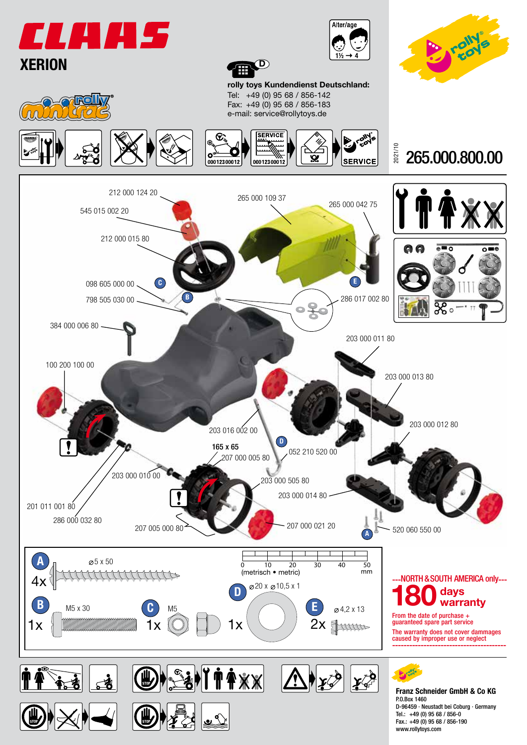





www.rollytoys.com



rolly toys Kundendienst Deutschland: Tel: +49 (0) 95 68 / 856-142 Fax: +49 (0) 95 68 / 856-183 e-mail: service@rollytoys.de